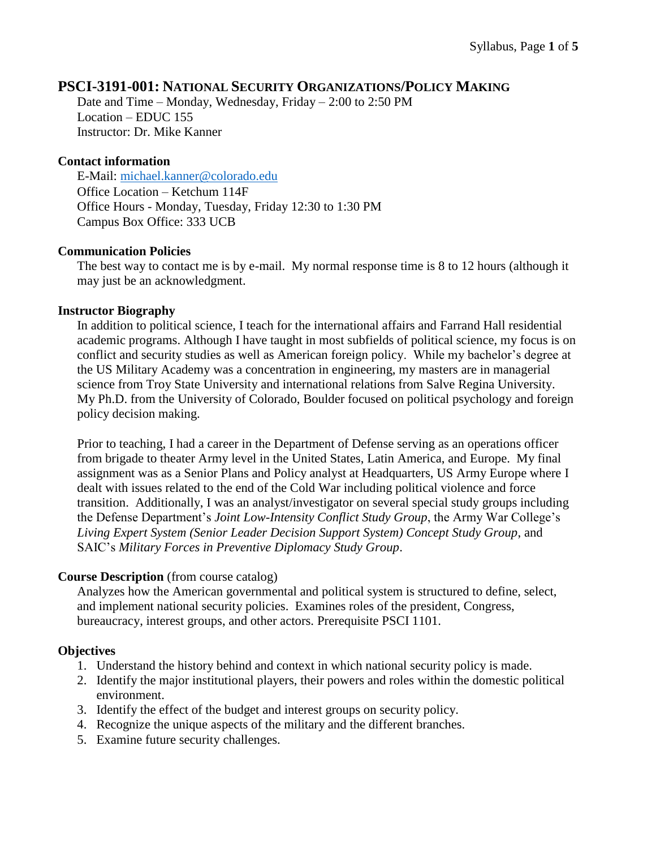# **PSCI-3191-001: NATIONAL SECURITY ORGANIZATIONS/POLICY MAKING**

Date and Time – Monday, Wednesday, Friday – 2:00 to 2:50 PM Location – EDUC 155 Instructor: Dr. Mike Kanner

#### **Contact information**

E-Mail: [michael.kanner@colorado.edu](mailto:michael.kanner@colorado.edu) Office Location – Ketchum 114F Office Hours - Monday, Tuesday, Friday 12:30 to 1:30 PM Campus Box Office: 333 UCB

### **Communication Policies**

The best way to contact me is by e-mail. My normal response time is 8 to 12 hours (although it may just be an acknowledgment.

#### **Instructor Biography**

In addition to political science, I teach for the international affairs and Farrand Hall residential academic programs. Although I have taught in most subfields of political science, my focus is on conflict and security studies as well as American foreign policy. While my bachelor's degree at the US Military Academy was a concentration in engineering, my masters are in managerial science from Troy State University and international relations from Salve Regina University. My Ph.D. from the University of Colorado, Boulder focused on political psychology and foreign policy decision making.

Prior to teaching, I had a career in the Department of Defense serving as an operations officer from brigade to theater Army level in the United States, Latin America, and Europe. My final assignment was as a Senior Plans and Policy analyst at Headquarters, US Army Europe where I dealt with issues related to the end of the Cold War including political violence and force transition. Additionally, I was an analyst/investigator on several special study groups including the Defense Department's *Joint Low-Intensity Conflict Study Group*, the Army War College's *Living Expert System (Senior Leader Decision Support System) Concept Study Group*, and SAIC's *Military Forces in Preventive Diplomacy Study Group*.

#### **Course Description** (from course catalog)

Analyzes how the American governmental and political system is structured to define, select, and implement national security policies. Examines roles of the president, Congress, bureaucracy, interest groups, and other actors. Prerequisite PSCI 1101.

#### **Objectives**

- 1. Understand the history behind and context in which national security policy is made.
- 2. Identify the major institutional players, their powers and roles within the domestic political environment.
- 3. Identify the effect of the budget and interest groups on security policy.
- 4. Recognize the unique aspects of the military and the different branches.
- 5. Examine future security challenges.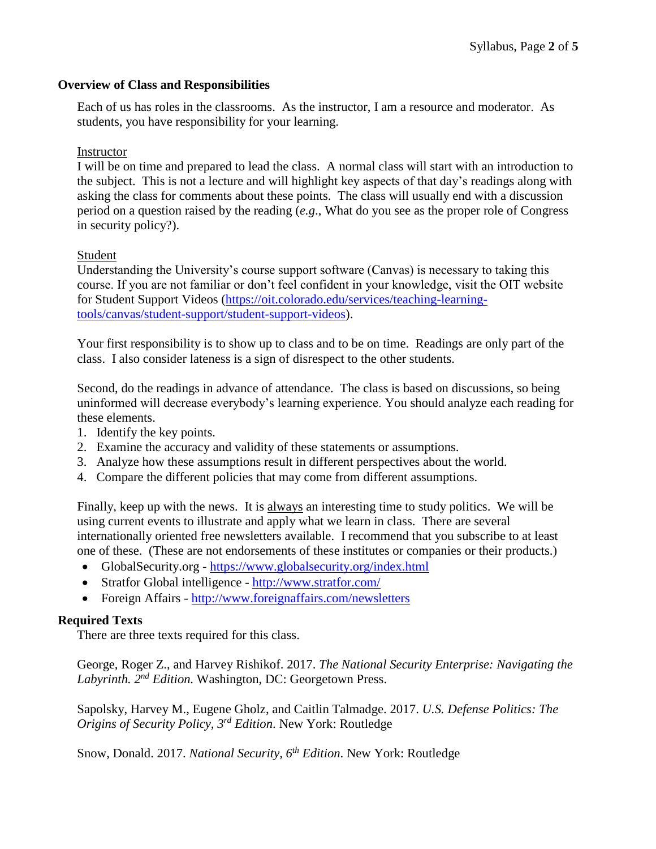### **Overview of Class and Responsibilities**

Each of us has roles in the classrooms. As the instructor, I am a resource and moderator. As students, you have responsibility for your learning.

### Instructor

I will be on time and prepared to lead the class. A normal class will start with an introduction to the subject. This is not a lecture and will highlight key aspects of that day's readings along with asking the class for comments about these points. The class will usually end with a discussion period on a question raised by the reading (*e.g*., What do you see as the proper role of Congress in security policy?).

### Student

Understanding the University's course support software (Canvas) is necessary to taking this course. If you are not familiar or don't feel confident in your knowledge, visit the OIT website for Student Support Videos [\(https://oit.colorado.edu/services/teaching-learning](https://oit.colorado.edu/services/teaching-learning-tools/canvas/student-support/student-support-videos)[tools/canvas/student-support/student-support-videos\)](https://oit.colorado.edu/services/teaching-learning-tools/canvas/student-support/student-support-videos).

Your first responsibility is to show up to class and to be on time. Readings are only part of the class. I also consider lateness is a sign of disrespect to the other students.

Second, do the readings in advance of attendance. The class is based on discussions, so being uninformed will decrease everybody's learning experience. You should analyze each reading for these elements.

- 1. Identify the key points.
- 2. Examine the accuracy and validity of these statements or assumptions.
- 3. Analyze how these assumptions result in different perspectives about the world.
- 4. Compare the different policies that may come from different assumptions.

Finally, keep up with the news. It is always an interesting time to study politics. We will be using current events to illustrate and apply what we learn in class. There are several internationally oriented free newsletters available. I recommend that you subscribe to at least one of these. (These are not endorsements of these institutes or companies or their products.)

- GlobalSecurity.org <https://www.globalsecurity.org/index.html>
- Stratfor Global intelligence <http://www.stratfor.com/>
- Foreign Affairs <http://www.foreignaffairs.com/newsletters>

## **Required Texts**

There are three texts required for this class.

George, Roger Z., and Harvey Rishikof. 2017. *The National Security Enterprise: Navigating the Labyrinth. 2 nd Edition.* Washington, DC: Georgetown Press.

Sapolsky, Harvey M., Eugene Gholz, and Caitlin Talmadge. 2017. *U.S. Defense Politics: The Origins of Security Policy, 3rd Edition*. New York: Routledge

Snow, Donald. 2017. *National Security, 6th Edition*. New York: Routledge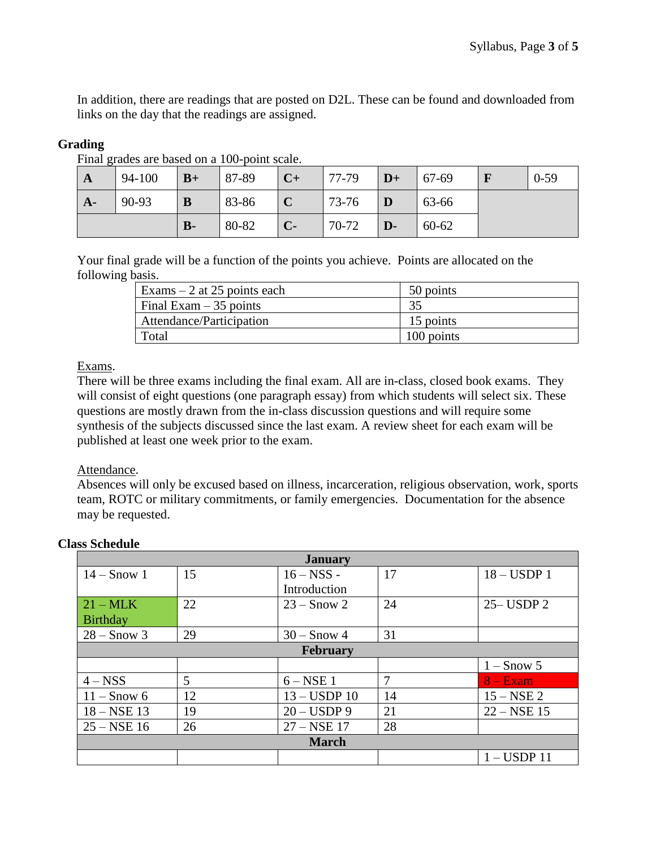In addition, there are readings that are posted on D2L. These can be found and downloaded from links on the day that the readings are assigned.

# **Grading**

| $\mathbf{A}$ | 94-100 | $B+$         | 87-89 | $C+$        | 77-79 | $ D+$        | 67-69 | $0 - 59$ |
|--------------|--------|--------------|-------|-------------|-------|--------------|-------|----------|
| $A-$         | 90-93  | B            | 83-86 | $\mathbf C$ | 73-76 | $\mathbf D$  | 63-66 |          |
|              |        | $\mathbf{B}$ | 80-82 | $C-$        | 70-72 | $\mathbf{D}$ | 60-62 |          |

Final grades are based on a 100-point scale.

Your final grade will be a function of the points you achieve. Points are allocated on the following basis.

| Exams $-2$ at 25 points each | 50 points  |
|------------------------------|------------|
| Final Exam $-35$ points      | 35         |
| Attendance/Participation     | 15 points  |
| Total                        | 100 points |

## Exams.

There will be three exams including the final exam. All are in-class, closed book exams. They will consist of eight questions (one paragraph essay) from which students will select six. These questions are mostly drawn from the in-class discussion questions and will require some synthesis of the subjects discussed since the last exam. A review sheet for each exam will be published at least one week prior to the exam.

## Attendance.

Absences will only be excused based on illness, incarceration, religious observation, work, sports team, ROTC or military commitments, or family emergencies. Documentation for the absence may be requested.

| <b>January</b>       |    |                |    |                 |  |  |
|----------------------|----|----------------|----|-----------------|--|--|
| $14 -$ Snow 1        | 15 |                | 17 | $18 - USDP1$    |  |  |
|                      |    | Introduction   |    |                 |  |  |
| $21 - \text{MLK}$    | 22 | $23 -$ Snow 2  | 24 | $25 -$ USDP $2$ |  |  |
| <b>Birthday</b>      |    |                |    |                 |  |  |
| $28 -$ Snow 3        | 29 | $30 -$ Snow 4  | 31 |                 |  |  |
| <b>February</b>      |    |                |    |                 |  |  |
|                      |    |                |    | $1 -$ Snow 5    |  |  |
| $4 - NSS$            | 5  | $6 - NSE$ 1    | 7  | $8 - Exam$      |  |  |
| $11 -$ Snow 6        | 12 | $13 - USDP$ 10 | 14 | $15 - NSE$ 2    |  |  |
| $18 - \text{NSE} 13$ | 19 | $20 - USDP9$   | 21 | $22 - NSE$ 15   |  |  |
| $25 - NSE$ 16        | 26 | $27 - NSE$ 17  | 28 |                 |  |  |
| <b>March</b>         |    |                |    |                 |  |  |
|                      |    |                |    | $1 -$ USDP 11   |  |  |

## **Class Schedule**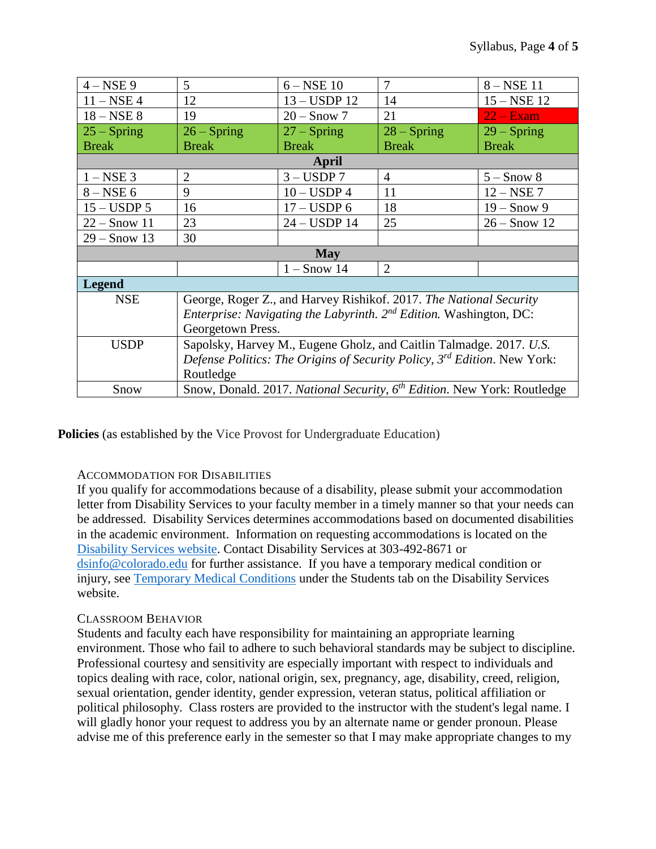| $4 - NSE$ 9    | 5                                                                                     |               | 7              | $8 - NSE$ 11   |  |  |  |
|----------------|---------------------------------------------------------------------------------------|---------------|----------------|----------------|--|--|--|
| $11 - NSE$ 4   | 12                                                                                    |               | 14             | $15 - NSE$ 12  |  |  |  |
| $18 - NSE$ 8   | 19                                                                                    |               | 21             | $22 - Exam$    |  |  |  |
| $25 - Spring$  | $26 - Spring$                                                                         | $27 -$ Spring | $28 - Spring$  | $29 - Spring$  |  |  |  |
| <b>Break</b>   | <b>Break</b>                                                                          | <b>Break</b>  | <b>Break</b>   | <b>Break</b>   |  |  |  |
| April          |                                                                                       |               |                |                |  |  |  |
| $1 - NSE$ 3    | $\overline{2}$                                                                        | $3 - USDP$ 7  | $\overline{4}$ | $5 -$ Snow 8   |  |  |  |
| $8 - NSE$ 6    | 9                                                                                     |               | 11             | $12 - NSE$ 7   |  |  |  |
| $15 - USDP$ 5  | 16                                                                                    |               | 18             | $19 -$ Snow 9  |  |  |  |
| $22 -$ Snow 11 | 23                                                                                    |               | 25             | $26 -$ Snow 12 |  |  |  |
| $29 -$ Snow 13 | 30                                                                                    |               |                |                |  |  |  |
| May            |                                                                                       |               |                |                |  |  |  |
|                |                                                                                       | $1 -$ Snow 14 | 2              |                |  |  |  |
| <b>Legend</b>  |                                                                                       |               |                |                |  |  |  |
| <b>NSE</b>     | George, Roger Z., and Harvey Rishikof. 2017. The National Security                    |               |                |                |  |  |  |
|                | <i>Enterprise: Navigating the Labyrinth.</i> $2^{nd}$ <i>Edition.</i> Washington, DC: |               |                |                |  |  |  |
|                | Georgetown Press.                                                                     |               |                |                |  |  |  |
| <b>USDP</b>    | Sapolsky, Harvey M., Eugene Gholz, and Caitlin Talmadge. 2017. U.S.                   |               |                |                |  |  |  |
|                | Defense Politics: The Origins of Security Policy, 3 <sup>rd</sup> Edition. New York:  |               |                |                |  |  |  |
|                | Routledge                                                                             |               |                |                |  |  |  |
| Snow           | Snow, Donald. 2017. National Security, 6 <sup>th</sup> Edition. New York: Routledge   |               |                |                |  |  |  |

**Policies** (as established by the Vice Provost for Undergraduate Education)

## ACCOMMODATION FOR DISABILITIES

If you qualify for accommodations because of a disability, please submit your accommodation letter from Disability Services to your faculty member in a timely manner so that your needs can be addressed. Disability Services determines accommodations based on documented disabilities in the academic environment. Information on requesting accommodations is located on the [Disability Services website.](http://www.colorado.edu/disabilityservices/students) Contact Disability Services at 303-492-8671 or [dsinfo@colorado.edu](mailto:dsinfo@colorado.edu) for further assistance. If you have a temporary medical condition or injury, see [Temporary Medical Conditions](http://www.colorado.edu/disabilityservices/students/temporary-medical-conditions) under the Students tab on the Disability Services website.

## CLASSROOM BEHAVIOR

Students and faculty each have responsibility for maintaining an appropriate learning environment. Those who fail to adhere to such behavioral standards may be subject to discipline. Professional courtesy and sensitivity are especially important with respect to individuals and topics dealing with race, color, national origin, sex, pregnancy, age, disability, creed, religion, sexual orientation, gender identity, gender expression, veteran status, political affiliation or political philosophy. Class rosters are provided to the instructor with the student's legal name. I will gladly honor your request to address you by an alternate name or gender pronoun. Please advise me of this preference early in the semester so that I may make appropriate changes to my